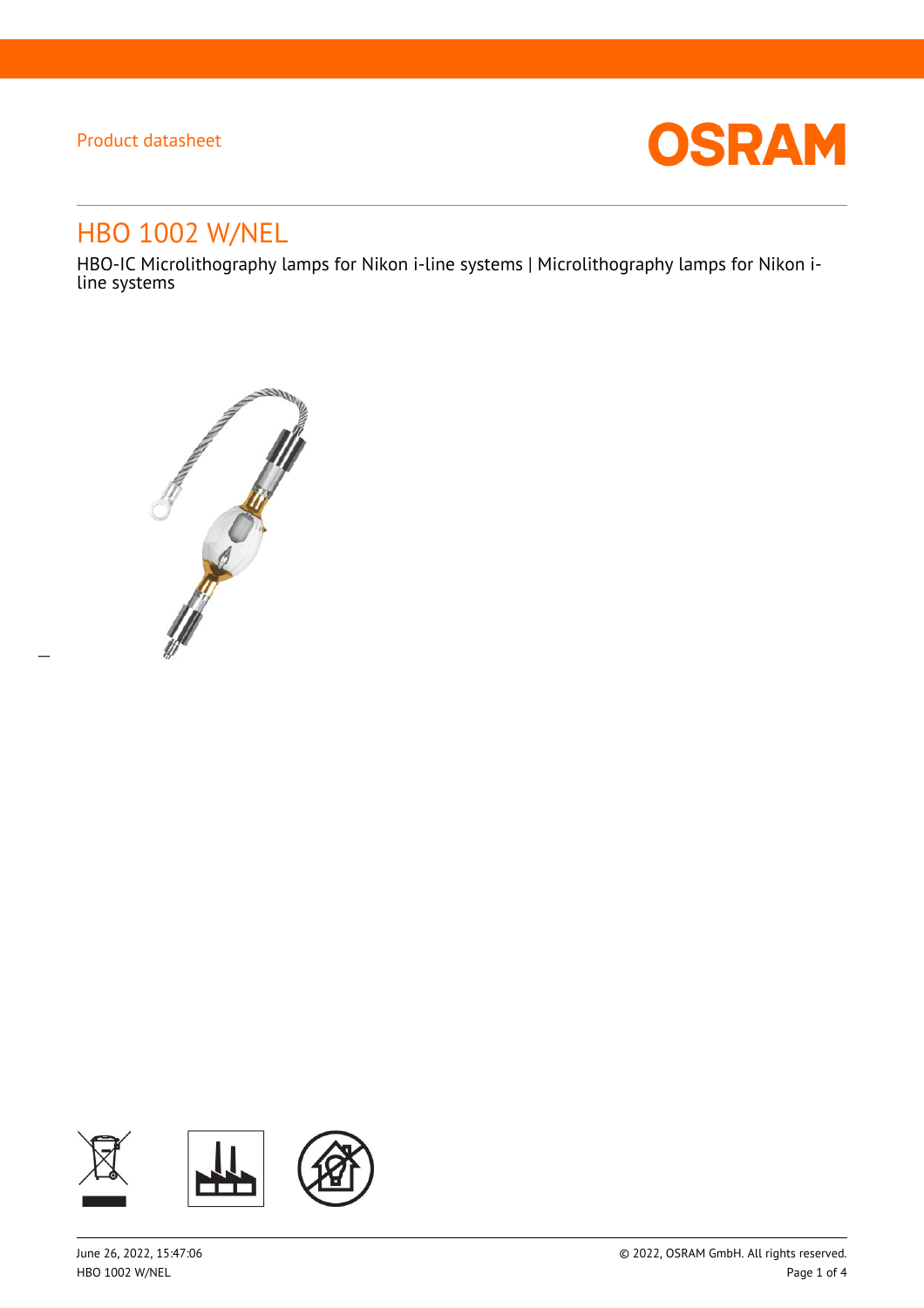$\overline{a}$ 



# HBO 1002 W/NEL

HBO-IC Microlithography lamps for Nikon i-line systems | Microlithography lamps for Nikon iline systems



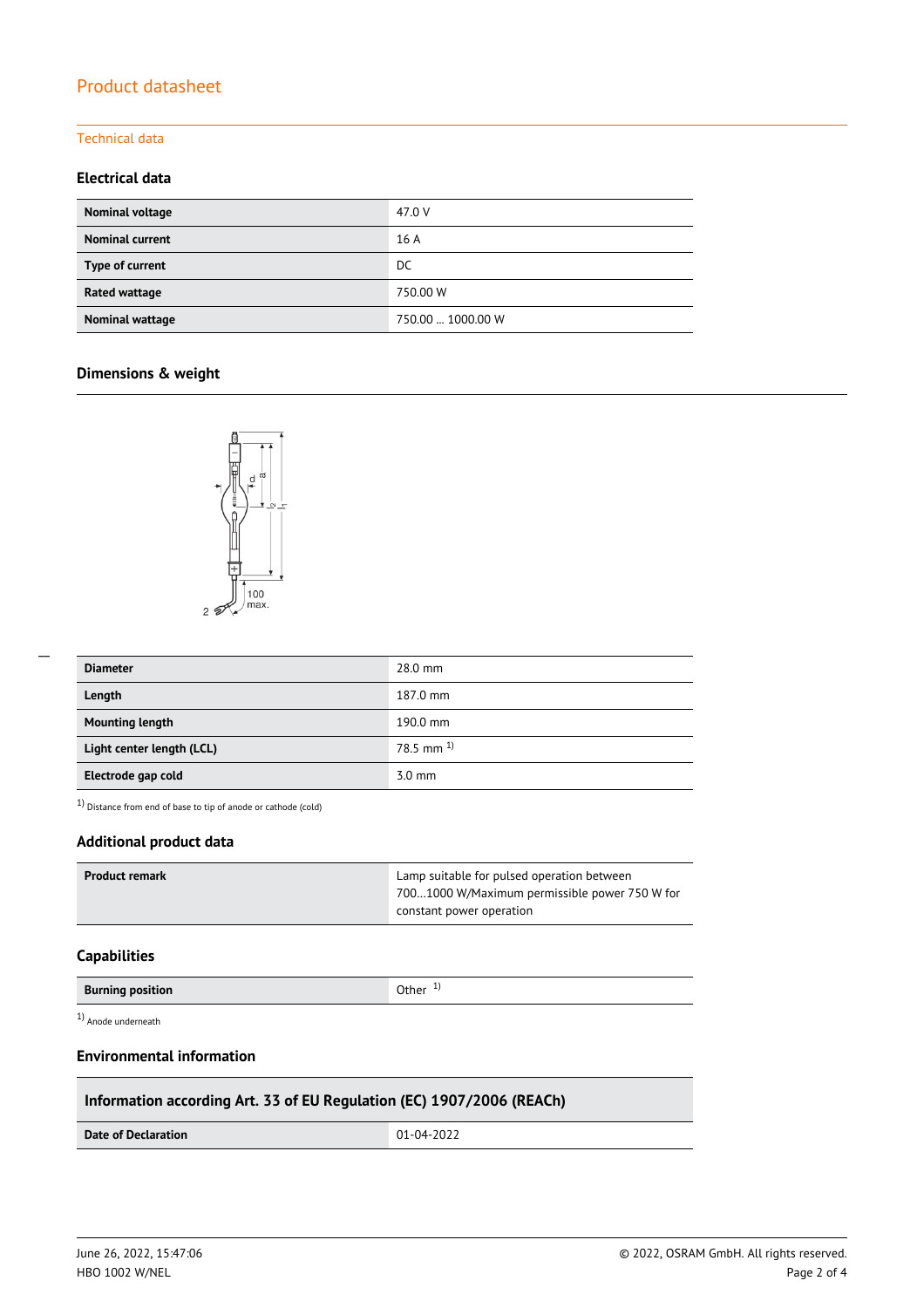### Technical data

### **Electrical data**

| Nominal voltage        | 47.0 V            |
|------------------------|-------------------|
| <b>Nominal current</b> | 16 A              |
| Type of current        | DC                |
| Rated wattage          | 750.00 W          |
| Nominal wattage        | 750.00  1000.00 W |

### **Dimensions & weight**



| <b>Diameter</b>           | 28.0 mm          |
|---------------------------|------------------|
| Length                    | 187.0 mm         |
| <b>Mounting length</b>    | 190.0 mm         |
| Light center length (LCL) | 78.5 mm $^{1}$   |
| Electrode gap cold        | $3.0 \text{ mm}$ |

1) Distance from end of base to tip of anode or cathode (cold)

### **Additional product data**

| Product remark | Lamp suitable for pulsed operation between    |  |
|----------------|-----------------------------------------------|--|
|                | 7001000 W/Maximum permissible power 750 W for |  |
|                | constant power operation                      |  |

#### **Capabilities**

| <b>Burning position</b> | Other $1$ ) |
|-------------------------|-------------|
|-------------------------|-------------|

1) Anode underneath

### **Environmental information**

### **Information according Art. 33 of EU Regulation (EC) 1907/2006 (REACh)**

**Date of Declaration**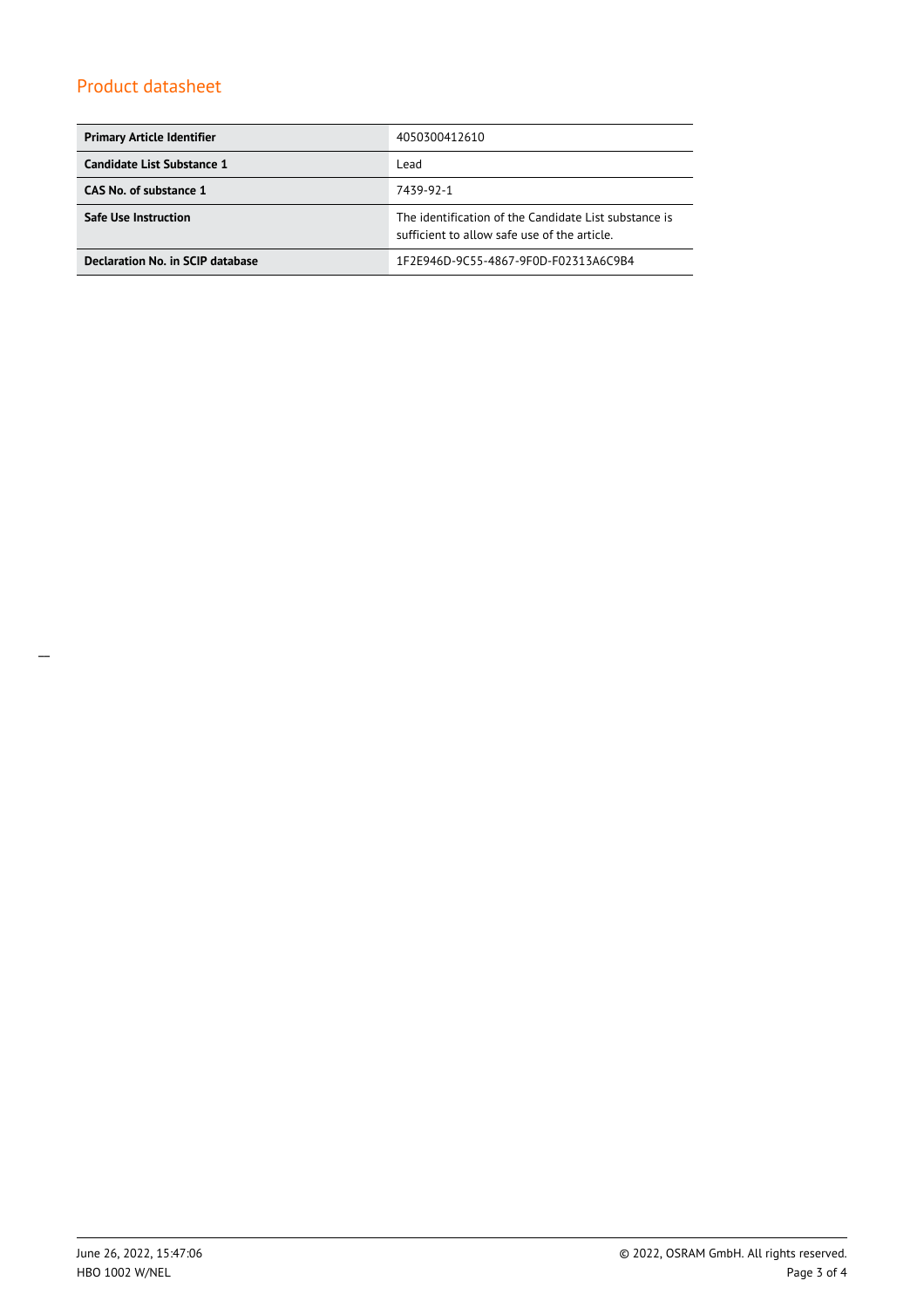| <b>Primary Article Identifier</b> | 4050300412610                                                                                         |  |  |
|-----------------------------------|-------------------------------------------------------------------------------------------------------|--|--|
| Candidate List Substance 1        | Lead                                                                                                  |  |  |
| CAS No. of substance 1            | 7439-92-1                                                                                             |  |  |
| <b>Safe Use Instruction</b>       | The identification of the Candidate List substance is<br>sufficient to allow safe use of the article. |  |  |
| Declaration No. in SCIP database  | 1F2E946D-9C55-4867-9F0D-F02313A6C9B4                                                                  |  |  |